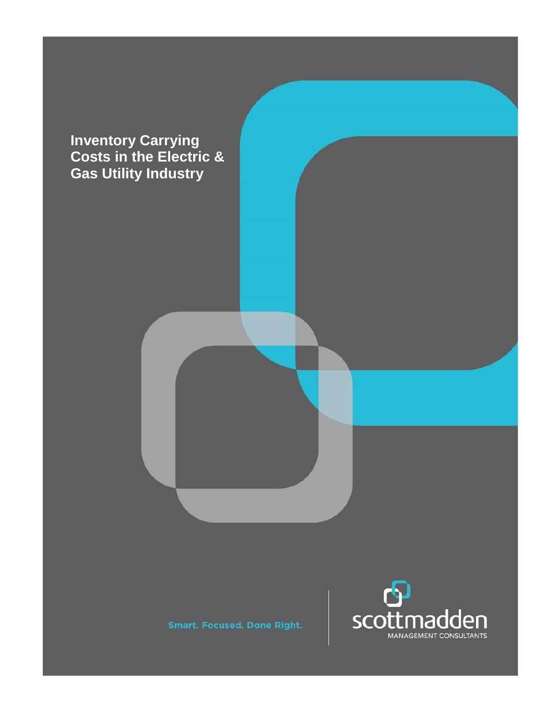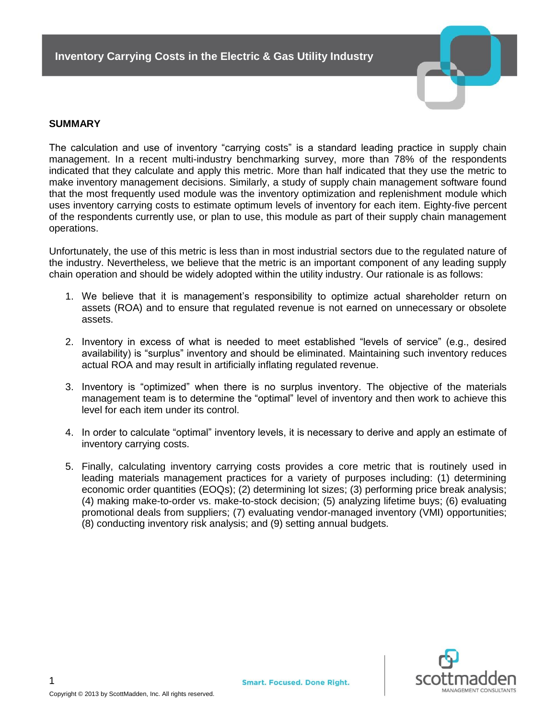

### **SUMMARY**

The calculation and use of inventory "carrying costs" is a standard leading practice in supply chain management. In a recent multi-industry benchmarking survey, more than 78% of the respondents indicated that they calculate and apply this metric. More than half indicated that they use the metric to make inventory management decisions. Similarly, a study of supply chain management software found that the most frequently used module was the inventory optimization and replenishment module which uses inventory carrying costs to estimate optimum levels of inventory for each item. Eighty-five percent of the respondents currently use, or plan to use, this module as part of their supply chain management operations.

Unfortunately, the use of this metric is less than in most industrial sectors due to the regulated nature of the industry. Nevertheless, we believe that the metric is an important component of any leading supply chain operation and should be widely adopted within the utility industry. Our rationale is as follows:

- 1. We believe that it is management's responsibility to optimize actual shareholder return on assets (ROA) and to ensure that regulated revenue is not earned on unnecessary or obsolete assets.
- 2. Inventory in excess of what is needed to meet established "levels of service" (e.g., desired availability) is "surplus" inventory and should be eliminated. Maintaining such inventory reduces actual ROA and may result in artificially inflating regulated revenue.
- 3. Inventory is "optimized" when there is no surplus inventory. The objective of the materials management team is to determine the "optimal" level of inventory and then work to achieve this level for each item under its control.
- 4. In order to calculate "optimal" inventory levels, it is necessary to derive and apply an estimate of inventory carrying costs.
- 5. Finally, calculating inventory carrying costs provides a core metric that is routinely used in leading materials management practices for a variety of purposes including: (1) determining economic order quantities (EOQs); (2) determining lot sizes; (3) performing price break analysis; (4) making make-to-order vs. make-to-stock decision; (5) analyzing lifetime buys; (6) evaluating promotional deals from suppliers; (7) evaluating vendor-managed inventory (VMI) opportunities; (8) conducting inventory risk analysis; and (9) setting annual budgets.

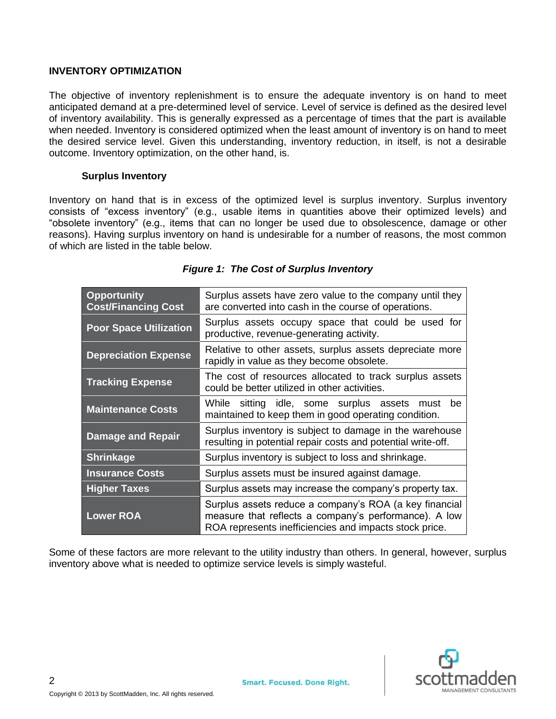### **INVENTORY OPTIMIZATION**

The objective of inventory replenishment is to ensure the adequate inventory is on hand to meet anticipated demand at a pre-determined level of service. Level of service is defined as the desired level of inventory availability. This is generally expressed as a percentage of times that the part is available when needed. Inventory is considered optimized when the least amount of inventory is on hand to meet the desired service level. Given this understanding, inventory reduction, in itself, is not a desirable outcome. Inventory optimization, on the other hand, is.

#### **Surplus Inventory**

Inventory on hand that is in excess of the optimized level is surplus inventory. Surplus inventory consists of "excess inventory" (e.g., usable items in quantities above their optimized levels) and "obsolete inventory" (e.g., items that can no longer be used due to obsolescence, damage or other reasons). Having surplus inventory on hand is undesirable for a number of reasons, the most common of which are listed in the table below.

| <b>Opportunity</b><br><b>Cost/Financing Cost</b> | Surplus assets have zero value to the company until they<br>are converted into cash in the course of operations.                                                          |
|--------------------------------------------------|---------------------------------------------------------------------------------------------------------------------------------------------------------------------------|
| <b>Poor Space Utilization</b>                    | Surplus assets occupy space that could be used for<br>productive, revenue-generating activity.                                                                            |
| <b>Depreciation Expense</b>                      | Relative to other assets, surplus assets depreciate more<br>rapidly in value as they become obsolete.                                                                     |
| <b>Tracking Expense</b>                          | The cost of resources allocated to track surplus assets<br>could be better utilized in other activities.                                                                  |
| <b>Maintenance Costs</b>                         | While sitting idle, some surplus assets must<br>be<br>maintained to keep them in good operating condition.                                                                |
| <b>Damage and Repair</b>                         | Surplus inventory is subject to damage in the warehouse<br>resulting in potential repair costs and potential write-off.                                                   |
| <b>Shrinkage</b>                                 | Surplus inventory is subject to loss and shrinkage.                                                                                                                       |
| <b>Insurance Costs</b>                           | Surplus assets must be insured against damage.                                                                                                                            |
| <b>Higher Taxes</b>                              | Surplus assets may increase the company's property tax.                                                                                                                   |
| <b>Lower ROA</b>                                 | Surplus assets reduce a company's ROA (a key financial<br>measure that reflects a company's performance). A low<br>ROA represents inefficiencies and impacts stock price. |

# *Figure 1: The Cost of Surplus Inventory*

Some of these factors are more relevant to the utility industry than others. In general, however, surplus inventory above what is needed to optimize service levels is simply wasteful.

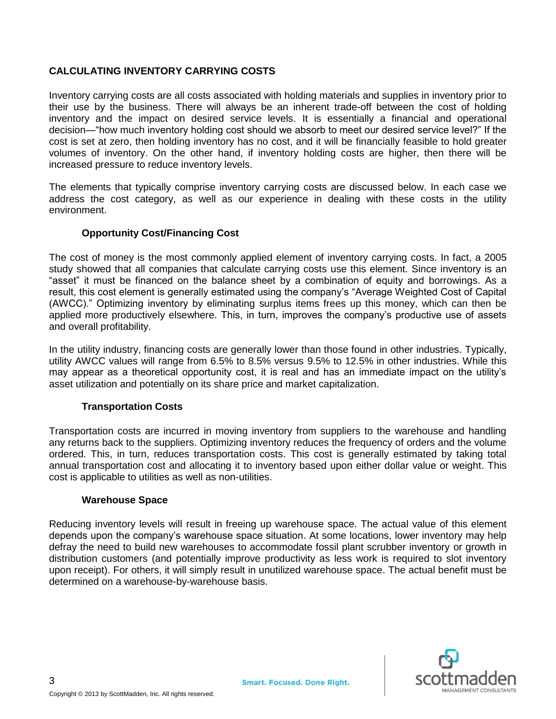# **CALCULATING INVENTORY CARRYING COSTS**

Inventory carrying costs are all costs associated with holding materials and supplies in inventory prior to their use by the business. There will always be an inherent trade-off between the cost of holding inventory and the impact on desired service levels. It is essentially a financial and operational decision—"how much inventory holding cost should we absorb to meet our desired service level?" If the cost is set at zero, then holding inventory has no cost, and it will be financially feasible to hold greater volumes of inventory. On the other hand, if inventory holding costs are higher, then there will be increased pressure to reduce inventory levels.

The elements that typically comprise inventory carrying costs are discussed below. In each case we address the cost category, as well as our experience in dealing with these costs in the utility environment.

## **Opportunity Cost/Financing Cost**

The cost of money is the most commonly applied element of inventory carrying costs. In fact, a 2005 study showed that all companies that calculate carrying costs use this element. Since inventory is an "asset" it must be financed on the balance sheet by a combination of equity and borrowings. As a result, this cost element is generally estimated using the company's "Average Weighted Cost of Capital (AWCC)." Optimizing inventory by eliminating surplus items frees up this money, which can then be applied more productively elsewhere. This, in turn, improves the company's productive use of assets and overall profitability.

In the utility industry, financing costs are generally lower than those found in other industries. Typically, utility AWCC values will range from 6.5% to 8.5% versus 9.5% to 12.5% in other industries. While this may appear as a theoretical opportunity cost, it is real and has an immediate impact on the utility's asset utilization and potentially on its share price and market capitalization.

## **Transportation Costs**

Transportation costs are incurred in moving inventory from suppliers to the warehouse and handling any returns back to the suppliers. Optimizing inventory reduces the frequency of orders and the volume ordered. This, in turn, reduces transportation costs. This cost is generally estimated by taking total annual transportation cost and allocating it to inventory based upon either dollar value or weight. This cost is applicable to utilities as well as non-utilities.

#### **Warehouse Space**

Reducing inventory levels will result in freeing up warehouse space. The actual value of this element depends upon the company's warehouse space situation. At some locations, lower inventory may help defray the need to build new warehouses to accommodate fossil plant scrubber inventory or growth in distribution customers (and potentially improve productivity as less work is required to slot inventory upon receipt). For others, it will simply result in unutilized warehouse space. The actual benefit must be determined on a warehouse-by-warehouse basis.

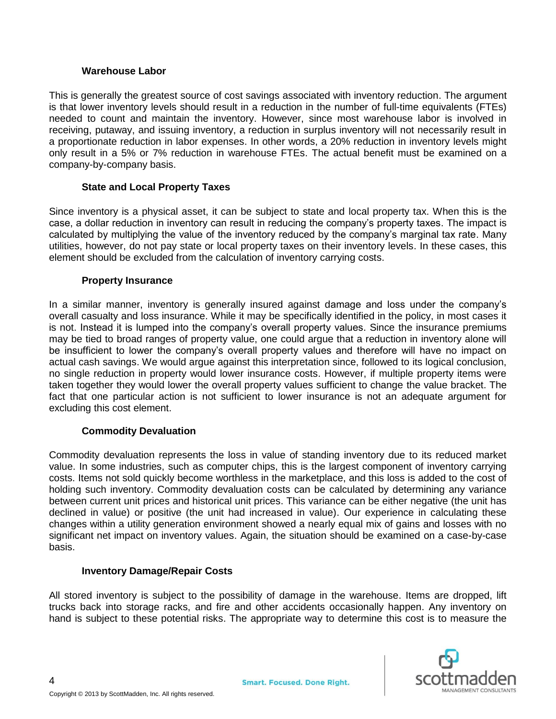## **Warehouse Labor**

This is generally the greatest source of cost savings associated with inventory reduction. The argument is that lower inventory levels should result in a reduction in the number of full-time equivalents (FTEs) needed to count and maintain the inventory. However, since most warehouse labor is involved in receiving, putaway, and issuing inventory, a reduction in surplus inventory will not necessarily result in a proportionate reduction in labor expenses. In other words, a 20% reduction in inventory levels might only result in a 5% or 7% reduction in warehouse FTEs. The actual benefit must be examined on a company-by-company basis.

## **State and Local Property Taxes**

Since inventory is a physical asset, it can be subject to state and local property tax. When this is the case, a dollar reduction in inventory can result in reducing the company's property taxes. The impact is calculated by multiplying the value of the inventory reduced by the company's marginal tax rate. Many utilities, however, do not pay state or local property taxes on their inventory levels. In these cases, this element should be excluded from the calculation of inventory carrying costs.

### **Property Insurance**

In a similar manner, inventory is generally insured against damage and loss under the company's overall casualty and loss insurance. While it may be specifically identified in the policy, in most cases it is not. Instead it is lumped into the company's overall property values. Since the insurance premiums may be tied to broad ranges of property value, one could argue that a reduction in inventory alone will be insufficient to lower the company's overall property values and therefore will have no impact on actual cash savings. We would argue against this interpretation since, followed to its logical conclusion, no single reduction in property would lower insurance costs. However, if multiple property items were taken together they would lower the overall property values sufficient to change the value bracket. The fact that one particular action is not sufficient to lower insurance is not an adequate argument for excluding this cost element.

#### **Commodity Devaluation**

Commodity devaluation represents the loss in value of standing inventory due to its reduced market value. In some industries, such as computer chips, this is the largest component of inventory carrying costs. Items not sold quickly become worthless in the marketplace, and this loss is added to the cost of holding such inventory. Commodity devaluation costs can be calculated by determining any variance between current unit prices and historical unit prices. This variance can be either negative (the unit has declined in value) or positive (the unit had increased in value). Our experience in calculating these changes within a utility generation environment showed a nearly equal mix of gains and losses with no significant net impact on inventory values. Again, the situation should be examined on a case-by-case basis.

#### **Inventory Damage/Repair Costs**

All stored inventory is subject to the possibility of damage in the warehouse. Items are dropped, lift trucks back into storage racks, and fire and other accidents occasionally happen. Any inventory on hand is subject to these potential risks. The appropriate way to determine this cost is to measure the

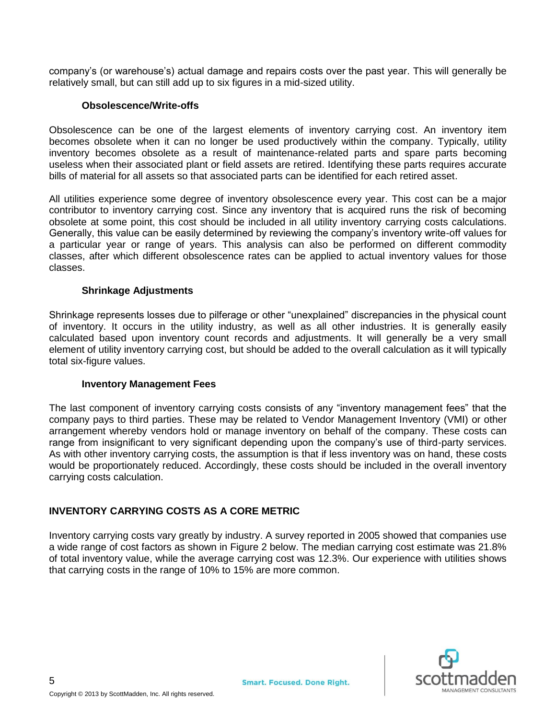company's (or warehouse's) actual damage and repairs costs over the past year. This will generally be relatively small, but can still add up to six figures in a mid-sized utility.

### **Obsolescence/Write-offs**

Obsolescence can be one of the largest elements of inventory carrying cost. An inventory item becomes obsolete when it can no longer be used productively within the company. Typically, utility inventory becomes obsolete as a result of maintenance-related parts and spare parts becoming useless when their associated plant or field assets are retired. Identifying these parts requires accurate bills of material for all assets so that associated parts can be identified for each retired asset.

All utilities experience some degree of inventory obsolescence every year. This cost can be a major contributor to inventory carrying cost. Since any inventory that is acquired runs the risk of becoming obsolete at some point, this cost should be included in all utility inventory carrying costs calculations. Generally, this value can be easily determined by reviewing the company's inventory write-off values for a particular year or range of years. This analysis can also be performed on different commodity classes, after which different obsolescence rates can be applied to actual inventory values for those classes.

### **Shrinkage Adjustments**

Shrinkage represents losses due to pilferage or other "unexplained" discrepancies in the physical count of inventory. It occurs in the utility industry, as well as all other industries. It is generally easily calculated based upon inventory count records and adjustments. It will generally be a very small element of utility inventory carrying cost, but should be added to the overall calculation as it will typically total six-figure values.

#### **Inventory Management Fees**

The last component of inventory carrying costs consists of any "inventory management fees" that the company pays to third parties. These may be related to Vendor Management Inventory (VMI) or other arrangement whereby vendors hold or manage inventory on behalf of the company. These costs can range from insignificant to very significant depending upon the company's use of third-party services. As with other inventory carrying costs, the assumption is that if less inventory was on hand, these costs would be proportionately reduced. Accordingly, these costs should be included in the overall inventory carrying costs calculation.

## **INVENTORY CARRYING COSTS AS A CORE METRIC**

Inventory carrying costs vary greatly by industry. A survey reported in 2005 showed that companies use a wide range of cost factors as shown in Figure 2 below. The median carrying cost estimate was 21.8% of total inventory value, while the average carrying cost was 12.3%. Our experience with utilities shows that carrying costs in the range of 10% to 15% are more common.